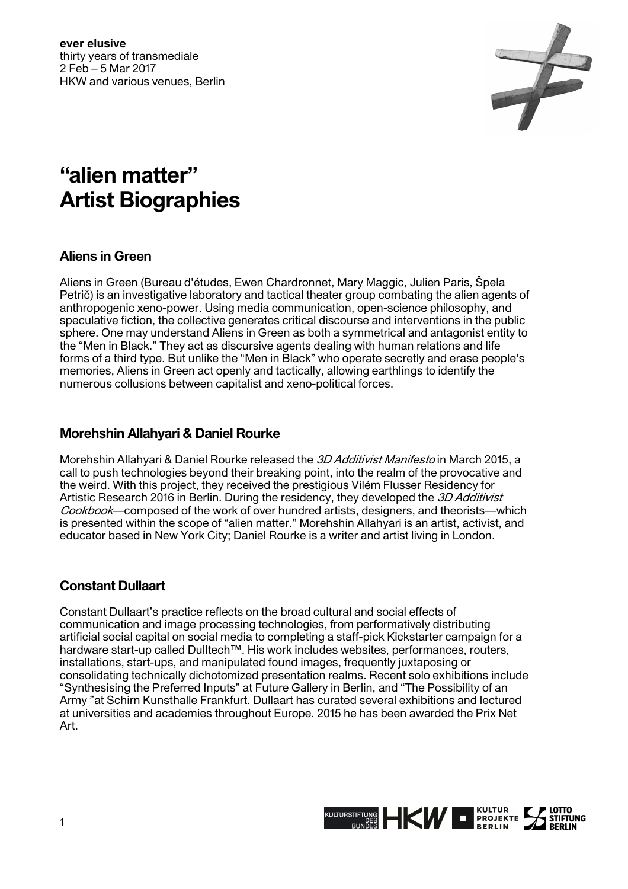

# **"alien matter" Artist Biographies**

# **Aliens in Green**

Aliens in Green (Bureau d'études, Ewen Chardronnet, Mary Maggic, Julien Paris, Špela Petrič) is an investigative laboratory and tactical theater group combating the alien agents of anthropogenic xeno-power. Using media communication, open-science philosophy, and speculative fiction, the collective generates critical discourse and interventions in the public sphere. One may understand Aliens in Green as both a symmetrical and antagonist entity to the "Men in Black." They act as discursive agents dealing with human relations and life forms of a third type. But unlike the "Men in Black" who operate secretly and erase people's memories, Aliens in Green act openly and tactically, allowing earthlings to identify the numerous collusions between capitalist and xeno-political forces.

# **Morehshin Allahyari & Daniel Rourke**

Morehshin Allahyari & Daniel Rourke released the 3D Additivist Manifesto in March 2015, a call to push technologies beyond their breaking point, into the realm of the provocative and the weird. With this project, they received the prestigious Vilém Flusser Residency for Artistic Research 2016 in Berlin. During the residency, they developed the 3D Additivist Cookbook—composed of the work of over hundred artists, designers, and theorists—which is presented within the scope of "alien matter." Morehshin Allahyari is an artist, activist, and educator based in New York City; Daniel Rourke is a writer and artist living in London.

# **Constant Dullaart**

Constant Dullaart's practice reflects on the broad cultural and social effects of communication and image processing technologies, from performatively distributing artificial social capital on social media to completing a staff-pick Kickstarter campaign for a hardware start-up called Dulltech™. His work includes websites, performances, routers, installations, start-ups, and manipulated found images, frequently juxtaposing or consolidating technically dichotomized presentation realms. Recent solo exhibitions include "Synthesising the Preferred Inputs" at Future Gallery in Berlin, and "The Possibility of an Army" at Schirn Kunsthalle Frankfurt. Dullaart has curated several exhibitions and lectured at universities and academies throughout Europe. 2015 he has been awarded the Prix Net Art.

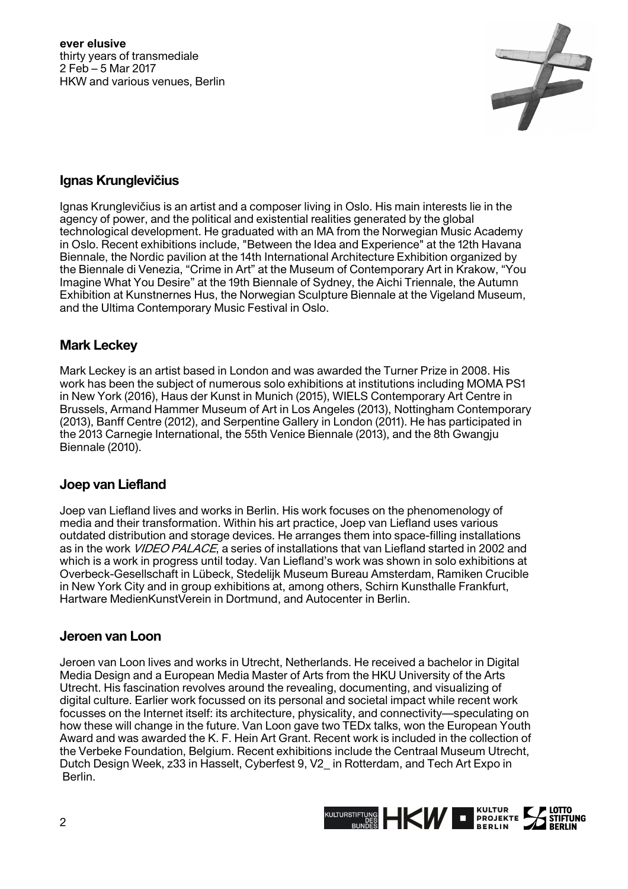**ever elusive** thirty years of transmediale 2 Feb – 5 Mar 2017 HKW and various venues, Berlin



# **Ignas Krunglevičius**

Ignas Krunglevičius is an artist and a composer living in Oslo. His main interests lie in the agency of power, and the political and existential realities generated by the global technological development. He graduated with an MA from the Norwegian Music Academy in Oslo. Recent exhibitions include, "Between the Idea and Experience" at the 12th Havana Biennale, the Nordic pavilion at the 14th International Architecture Exhibition organized by the Biennale di Venezia, "Crime in Art" at the Museum of Contemporary Art in Krakow, "You Imagine What You Desire" at the 19th Biennale of Sydney, the Aichi Triennale, the Autumn Exhibition at Kunstnernes Hus, the Norwegian Sculpture Biennale at the Vigeland Museum, and the Ultima Contemporary Music Festival in Oslo.

### **Mark Leckey**

Mark Leckey is an artist based in London and was awarded the Turner Prize in 2008. His work has been the subject of numerous solo exhibitions at institutions including MOMA PS1 in New York (2016), Haus der Kunst in Munich (2015), WIELS Contemporary Art Centre in Brussels, Armand Hammer Museum of Art in Los Angeles (2013), Nottingham Contemporary (2013), Banff Centre (2012), and Serpentine Gallery in London (2011). He has participated in the 2013 Carnegie International, the 55th Venice Biennale (2013), and the 8th Gwangju Biennale (2010).

# **Joep van Liefland**

Joep van Liefland lives and works in Berlin. His work focuses on the phenomenology of media and their transformation. Within his art practice, Joep van Liefland uses various outdated distribution and storage devices. He arranges them into space-filling installations as in the work *VIDEO PALACE*, a series of installations that van Liefland started in 2002 and which is a work in progress until today. Van Liefland's work was shown in solo exhibitions at Overbeck-Gesellschaft in Lübeck, Stedelijk Museum Bureau Amsterdam, Ramiken Crucible in New York City and in group exhibitions at, among others, Schirn Kunsthalle Frankfurt, Hartware MedienKunstVerein in Dortmund, and Autocenter in Berlin.

#### **Jeroen van Loon**

Jeroen van Loon lives and works in Utrecht, Netherlands. He received a bachelor in Digital Media Design and a European Media Master of Arts from the HKU University of the Arts Utrecht. His fascination revolves around the revealing, documenting, and visualizing of digital culture. Earlier work focussed on its personal and societal impact while recent work focusses on the Internet itself: its architecture, physicality, and connectivity—speculating on how these will change in the future. Van Loon gave two TEDx talks, won the European Youth Award and was awarded the K. F. Hein Art Grant. Recent work is included in the collection of the Verbeke Foundation, Belgium. Recent exhibitions include the Centraal Museum Utrecht, Dutch Design Week, z33 in Hasselt, Cyberfest 9, V2\_ in Rotterdam, and Tech Art Expo in Berlin.

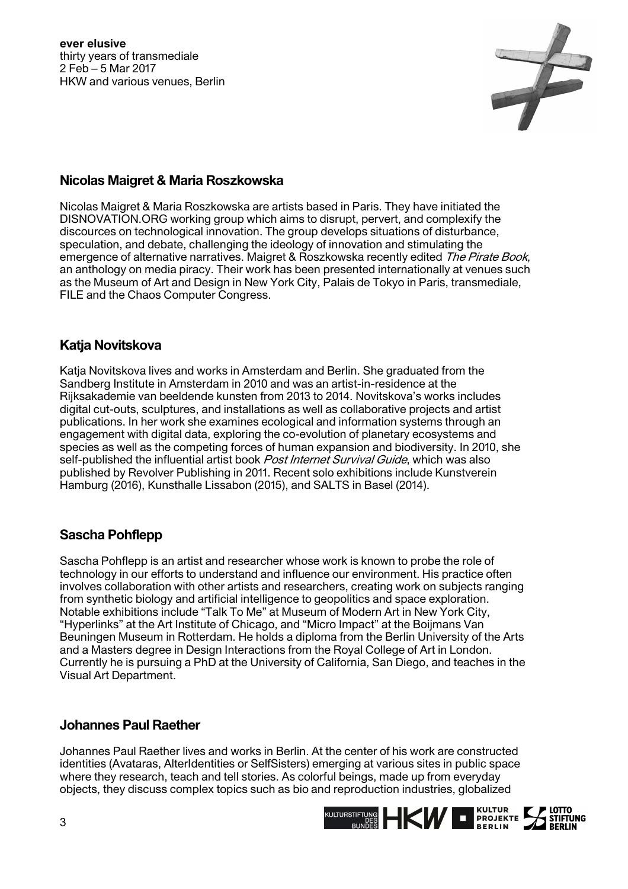

# **Nicolas Maigret & Maria Roszkowska**

Nicolas Maigret & Maria Roszkowska are artists based in Paris. They have initiated the DISNOVATION.ORG working group which aims to disrupt, pervert, and complexify the discources on technological innovation. The group develops situations of disturbance, speculation, and debate, challenging the ideology of innovation and stimulating the emergence of alternative narratives. Maigret & Roszkowska recently edited The Pirate Book, an anthology on media piracy. Their work has been presented internationally at venues such as the Museum of Art and Design in New York City, Palais de Tokyo in Paris, transmediale, FILE and the Chaos Computer Congress.

#### **Katja Novitskova**

Katja Novitskova lives and works in Amsterdam and Berlin. She graduated from the Sandberg Institute in Amsterdam in 2010 and was an artist-in-residence at the Rijksakademie van beeldende kunsten from 2013 to 2014. Novitskova's works includes digital cut-outs, sculptures, and installations as well as collaborative projects and artist publications. In her work she examines ecological and information systems through an engagement with digital data, exploring the co-evolution of planetary ecosystems and species as well as the competing forces of human expansion and biodiversity. In 2010, she self-published the influential artist book *Post Internet Survival Guide*, which was also published by Revolver Publishing in 2011. Recent solo exhibitions include Kunstverein Hamburg (2016), Kunsthalle Lissabon (2015), and SALTS in Basel (2014).

# **Sascha Pohflepp**

Sascha Pohflepp is an artist and researcher whose work is known to probe the role of technology in our efforts to understand and influence our environment. His practice often involves collaboration with other artists and researchers, creating work on subjects ranging from synthetic biology and artificial intelligence to geopolitics and space exploration. Notable exhibitions include "Talk To Me" at Museum of Modern Art in New York City, "Hyperlinks" at the Art Institute of Chicago, and "Micro Impact" at the Boijmans Van Beuningen Museum in Rotterdam. He holds a diploma from the Berlin University of the Arts and a Masters degree in Design Interactions from the Royal College of Art in London. Currently he is pursuing a PhD at the University of California, San Diego, and teaches in the Visual Art Department.

# **Johannes Paul Raether**

Johannes Paul Raether lives and works in Berlin. At the center of his work are constructed identities (Avataras, AlterIdentities or SelfSisters) emerging at various sites in public space where they research, teach and tell stories. As colorful beings, made up from everyday objects, they discuss complex topics such as bio and reproduction industries, globalized

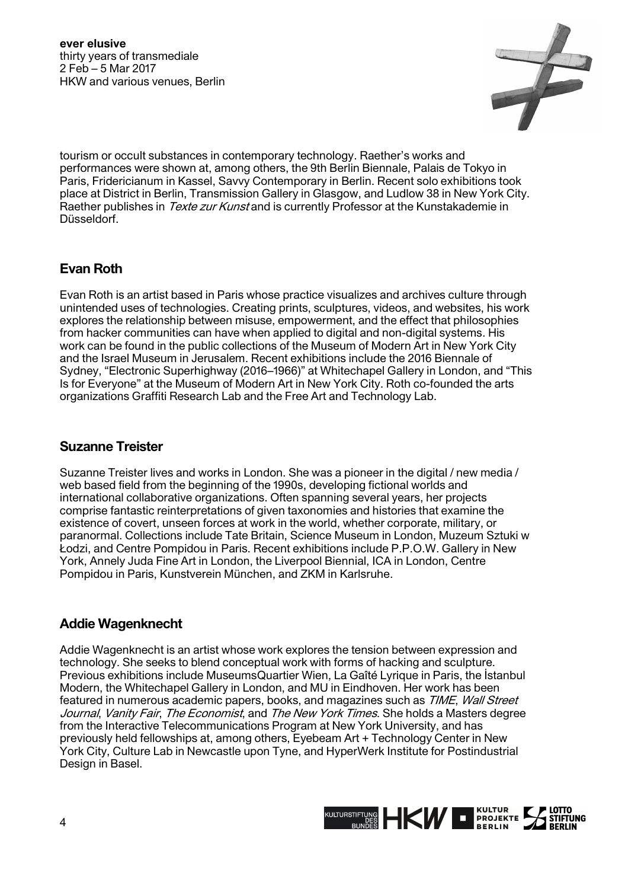**ever elusive** thirty years of transmediale 2 Feb – 5 Mar 2017 HKW and various venues, Berlin



tourism or occult substances in contemporary technology. Raether's works and performances were shown at, among others, the 9th Berlin Biennale, Palais de Tokyo in Paris, Fridericianum in Kassel, Savvy Contemporary in Berlin. Recent solo exhibitions took place at District in Berlin, Transmission Gallery in Glasgow, and Ludlow 38 in New York City. Raether publishes in *Texte zur Kunst* and is currently Professor at the Kunstakademie in Düsseldorf.

# **Evan Roth**

Evan Roth is an artist based in Paris whose practice visualizes and archives culture through unintended uses of technologies. Creating prints, sculptures, videos, and websites, his work explores the relationship between misuse, empowerment, and the effect that philosophies from hacker communities can have when applied to digital and non-digital systems. His work can be found in the public collections of the Museum of Modern Art in New York City and the Israel Museum in Jerusalem. Recent exhibitions include the 2016 Biennale of Sydney, "Electronic Superhighway (2016–1966)" at Whitechapel Gallery in London, and "This Is for Everyone" at the Museum of Modern Art in New York City. Roth co-founded the arts organizations Graffiti Research Lab and the Free Art and Technology Lab.

# **Suzanne Treister**

Suzanne Treister lives and works in London. She was a pioneer in the digital / new media / web based field from the beginning of the 1990s, developing fictional worlds and international collaborative organizations. Often spanning several years, her projects comprise fantastic reinterpretations of given taxonomies and histories that examine the existence of covert, unseen forces at work in the world, whether corporate, military, or paranormal. Collections include Tate Britain, Science Museum in London, Muzeum Sztuki w Łodzi, and Centre Pompidou in Paris. Recent exhibitions include P.P.O.W. Gallery in New York, Annely Juda Fine Art in London, the Liverpool Biennial, ICA in London, Centre Pompidou in Paris, Kunstverein München, and ZKM in Karlsruhe.

# **Addie Wagenknecht**

Addie Wagenknecht is an artist whose work explores the tension between expression and technology. She seeks to blend conceptual work with forms of hacking and sculpture. Previous exhibitions include MuseumsQuartier Wien, La Gaîté Lyrique in Paris, the İstanbul Modern, the Whitechapel Gallery in London, and MU in Eindhoven. Her work has been featured in numerous academic papers, books, and magazines such as *TIME, Wall Street* Journal, Vanity Fair, The Economist, and The New York Times. She holds a Masters degree from the Interactive Telecommunications Program at New York University, and has previously held fellowships at, among others, Eyebeam Art + Technology Center in New York City, Culture Lab in Newcastle upon Tyne, and HyperWerk Institute for Postindustrial Design in Basel.